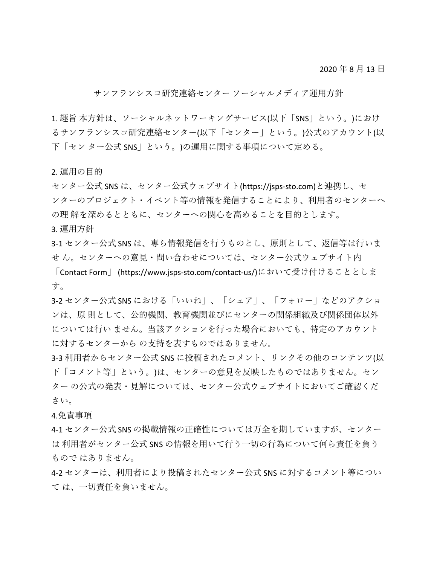2020 年 8 月 13 日

サンフランシスコ研究連絡センター ソーシャルメディア運用方針

1. 趣旨 本方針は、ソーシャルネットワーキングサービス(以下「SNS」という。)におけ るサンフランシスコ研究連絡センター(以下「センター」という。)公式のアカウント(以 下「セン ター公式 SNS」という。)の運用に関する事項について定める。

2. 運用の目的

センター公式 SNS は、センター公式ウェブサイト(https://jsps-sto.com)と連携し、セ ンターのプロジェクト・イベント等の情報を発信することにより、利用者のセンターへ の理 解を深めるとともに、センターへの関心を高めることを目的とします。

3. 運用方針

3-1 センター公式 SNS は、専ら情報発信を行うものとし、原則として、返信等は行いま せ ん。センターへの意見・問い合わせについては、センター公式ウェブサイト内

「Contact Form」 (https://www.jsps-sto.com/contact-us/)において受け付けることとしま す。

3-2 センター公式 SNS における「いいね」、「シェア」、「フォロー」などのアクショ ンは、原 則として、公的機関、教育機関並びにセンターの関係組織及び関係団体以外 については行い ません。当該アクションを行った場合においても、特定のアカウント に対するセンターから の支持を表すものではありません。

3-3 利用者からセンター公式 SNS に投稿されたコメント、リンクその他のコンテンツ(以 下「コメント等」という。)は、センターの意見を反映したものではありません。セン ター の公式の発表・見解については、センター公式ウェブサイトにおいてご確認くだ さい。

## 4.免責事項

4-1 センター公式 SNS の掲載情報の正確性については万全を期していますが、センター は 利用者がセンター公式 SNS の情報を用いて行う一切の行為について何ら責任を負う もので はありません。

4-2 センターは、利用者により投稿されたセンター公式 SNS に対するコメント等につい て は、一切責任を負いません。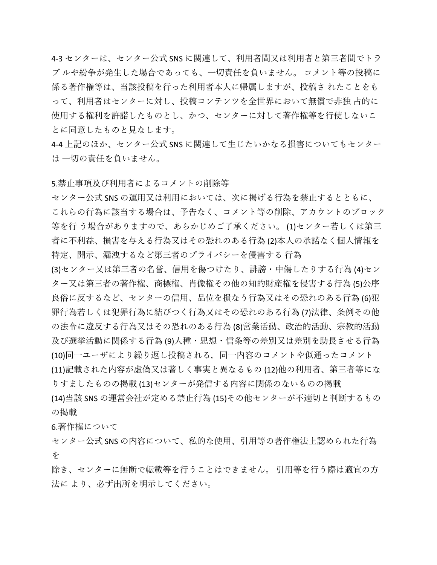4-3 センターは、センター公式 SNS に関連して、利用者間又は利用者と第三者間でトラ ブ ルや紛争が発生した場合であっても、一切責任を負いません。 コメント等の投稿に 係る著作権等は、当該投稿を行った利用者本人に帰属しますが、投稿さ れたことをも って、利用者はセンターに対し、投稿コンテンツを全世界において無償で非独 占的に 使用する権利を許諾したものとし、かつ、センターに対して著作権等を行使しないこ とに同意したものと見なします。

4-4 上記のほか、センター公式 SNS に関連して生じたいかなる損害についてもセンター は 一切の責任を負いません。

5.禁止事項及び利用者によるコメントの削除等

センター公式 SNS の運用又は利用においては、次に掲げる行為を禁止するとともに、 これらの行為に該当する場合は、予告なく、コメント等の削除、アカウントのブロック 等を行 う場合がありますので、あらかじめご了承ください。 (1)センター若しくは第三 者に不利益、損害を与える行為又はその恐れのある行為 (2)本人の承諾なく個人情報を 特定、開示、漏洩するなど第三者のプライバシーを侵害する 行為

(3)センター又は第三者の名誉、信用を傷つけたり、誹謗・中傷したりする行為 (4)セン ター又は第三者の著作権、商標権、肖像権その他の知的財産権を侵害する行為 (5)公序 良俗に反するなど、センターの信用、品位を損なう行為又はその恐れのある行為 (6)犯 罪行為若しくは犯罪行為に結びつく行為又はその恐れのある行為 (7)法律、条例その他 の法令に違反する行為又はその恐れのある行為 (8)営業活動、政治的活動、宗教的活動 及び選挙活動に関係する行為 (9)人種・思想・信条等の差別又は差別を助長させる行為 (10)同一ユーザにより繰り返し投稿される,同一内容のコメントや似通ったコメント (11)記載された内容が虚偽又は著しく事実と異なるもの (12)他の利用者、第三者等にな りすましたものの掲載 (13)センターが発信する内容に関係のないものの掲載

(14)当該 SNS の運営会社が定める禁止行為 (15)その他センターが不適切と判断するもの の掲載

6.著作権について

センター公式 SNS の内容について、私的な使用、引用等の著作権法上認められた行為 を

除き、センターに無断で転載等を行うことはできません。 引用等を行う際は適宜の方 法に より、必ず出所を明示してください。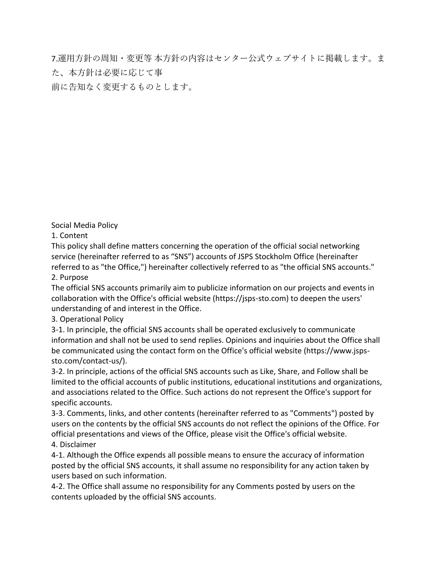7.運用方針の周知・変更等 本方針の内容はセンター公式ウェブサイトに掲載します。ま た、本方針は必要に応じて事

前に告知なく変更するものとします。

Social Media Policy

1. Content

This policy shall define matters concerning the operation of the official social networking service (hereinafter referred to as "SNS") accounts of JSPS Stockholm Office (hereinafter referred to as "the Office,") hereinafter collectively referred to as "the official SNS accounts."

2. Purpose

The official SNS accounts primarily aim to publicize information on our projects and events in collaboration with the Office's official website (https://jsps-sto.com) to deepen the users' understanding of and interest in the Office.

3. Operational Policy

3-1. In principle, the official SNS accounts shall be operated exclusively to communicate information and shall not be used to send replies. Opinions and inquiries about the Office shall be communicated using the contact form on the Office's official website (https://www.jspssto.com/contact-us/).

3-2. In principle, actions of the official SNS accounts such as Like, Share, and Follow shall be limited to the official accounts of public institutions, educational institutions and organizations, and associations related to the Office. Such actions do not represent the Office's support for specific accounts.

3-3. Comments, links, and other contents (hereinafter referred to as "Comments") posted by users on the contents by the official SNS accounts do not reflect the opinions of the Office. For official presentations and views of the Office, please visit the Office's official website. 4. Disclaimer

4-1. Although the Office expends all possible means to ensure the accuracy of information posted by the official SNS accounts, it shall assume no responsibility for any action taken by users based on such information.

4-2. The Office shall assume no responsibility for any Comments posted by users on the contents uploaded by the official SNS accounts.